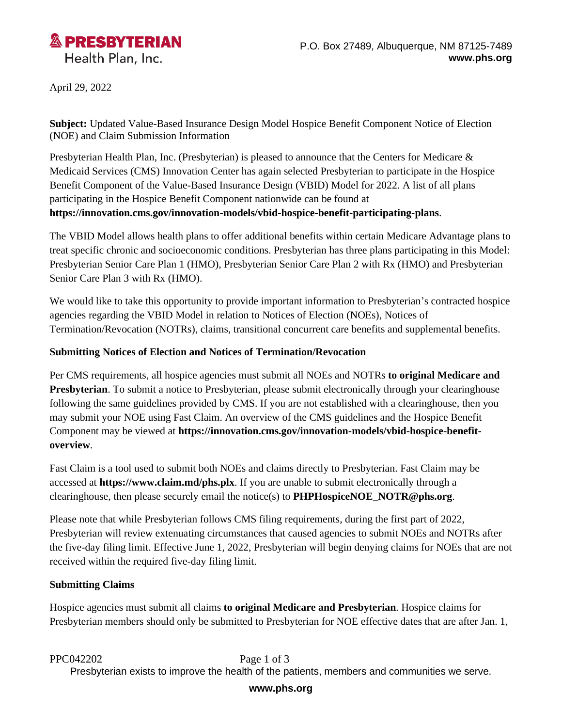

April 29, 2022

**Subject:** Updated Value-Based Insurance Design Model Hospice Benefit Component Notice of Election (NOE) and Claim Submission Information

Presbyterian Health Plan, Inc. (Presbyterian) is pleased to announce that the Centers for Medicare & Medicaid Services (CMS) Innovation Center has again selected Presbyterian to participate in the Hospice Benefit Component of the Value-Based Insurance Design (VBID) Model for 2022. A list of all plans participating in the Hospice Benefit Component nationwide can be found at **<https://innovation.cms.gov/innovation-models/vbid-hospice-benefit-participating-plans>**.

The VBID Model allows health plans to offer additional benefits within certain Medicare Advantage plans to treat specific chronic and socioeconomic conditions. Presbyterian has three plans participating in this Model: Presbyterian Senior Care Plan 1 (HMO), Presbyterian Senior Care Plan 2 with Rx (HMO) and Presbyterian Senior Care Plan 3 with Rx (HMO).

We would like to take this opportunity to provide important information to Presbyterian's contracted hospice agencies regarding the VBID Model in relation to Notices of Election (NOEs), Notices of Termination/Revocation (NOTRs), claims, transitional concurrent care benefits and supplemental benefits.

### **Submitting Notices of Election and Notices of Termination/Revocation**

Per CMS requirements, all hospice agencies must submit all NOEs and NOTRs **to original Medicare and Presbyterian**. To submit a notice to Presbyterian, please submit electronically through your clearinghouse following the same guidelines provided by CMS. If you are not established with a clearinghouse, then you may submit your NOE using Fast Claim. An overview of the CMS guidelines and the Hospice Benefit Component may be viewed at **[https://innovation.cms.gov/innovation-models/vbid-hospice-benefit](https://innovation.cms.gov/innovation-models/vbid-hospice-benefit-overview)[overview](https://innovation.cms.gov/innovation-models/vbid-hospice-benefit-overview)**.

Fast Claim is a tool used to submit both NOEs and claims directly to Presbyterian. Fast Claim may be accessed at **<https://www.claim.md/phs.plx>**. If you are unable to submit electronically through a clearinghouse, then please securely email the notice(s) to **[PHPHospiceNOE\\_NOTR@phs.org](mailto:PHPHospiceNOE_NOTR@phs.org)**.

Please note that while Presbyterian follows CMS filing requirements, during the first part of 2022, Presbyterian will review extenuating circumstances that caused agencies to submit NOEs and NOTRs after the five-day filing limit. Effective June 1, 2022, Presbyterian will begin denying claims for NOEs that are not received within the required five-day filing limit.

#### **Submitting Claims**

Hospice agencies must submit all claims **to original Medicare and Presbyterian**. Hospice claims for Presbyterian members should only be submitted to Presbyterian for NOE effective dates that are after Jan. 1,

PPC042202 Page 1 of 3

Presbyterian exists to improve the health of the patients, members and communities we serve.

#### **www.phs.org**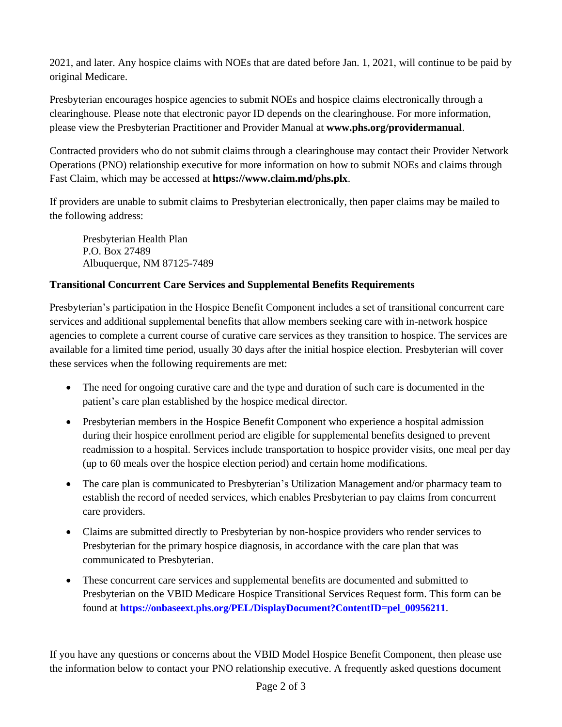2021, and later. Any hospice claims with NOEs that are dated before Jan. 1, 2021, will continue to be paid by original Medicare.

Presbyterian encourages hospice agencies to submit NOEs and hospice claims electronically through a clearinghouse. Please note that electronic payor ID depends on the clearinghouse. For more information, please view the Presbyterian Practitioner and Provider Manual at **[www.phs.org/providermanual](http://www.phs.org/providermanual)**.

Contracted providers who do not submit claims through a clearinghouse may contact their Provider Network Operations (PNO) relationship executive for more information on how to submit NOEs and claims through Fast Claim, which may be accessed at **<https://www.claim.md/phs.plx>**.

If providers are unable to submit claims to Presbyterian electronically, then paper claims may be mailed to the following address:

Presbyterian Health Plan P.O. Box 27489 Albuquerque, NM 87125-7489

## **Transitional Concurrent Care Services and Supplemental Benefits Requirements**

Presbyterian's participation in the Hospice Benefit Component includes a set of transitional concurrent care services and additional supplemental benefits that allow members seeking care with in-network hospice agencies to complete a current course of curative care services as they transition to hospice. The services are available for a limited time period, usually 30 days after the initial hospice election. Presbyterian will cover these services when the following requirements are met:

- The need for ongoing curative care and the type and duration of such care is documented in the patient's care plan established by the hospice medical director.
- Presbyterian members in the Hospice Benefit Component who experience a hospital admission during their hospice enrollment period are eligible for supplemental benefits designed to prevent readmission to a hospital. Services include transportation to hospice provider visits, one meal per day (up to 60 meals over the hospice election period) and certain home modifications.
- The care plan is communicated to Presbyterian's Utilization Management and/or pharmacy team to establish the record of needed services, which enables Presbyterian to pay claims from concurrent care providers.
- Claims are submitted directly to Presbyterian by non-hospice providers who render services to Presbyterian for the primary hospice diagnosis, in accordance with the care plan that was communicated to Presbyterian.
- These concurrent care services and supplemental benefits are documented and submitted to Presbyterian on the VBID Medicare Hospice Transitional Services Request form. This form can be found at **[https://onbaseext.phs.org/PEL/DisplayDocument?ContentID=pel\\_00956211](https://onbaseext.phs.org/PEL/DisplayDocument?ContentID=pel_00956211)**.

If you have any questions or concerns about the VBID Model Hospice Benefit Component, then please use the information below to contact your PNO relationship executive. A frequently asked questions document